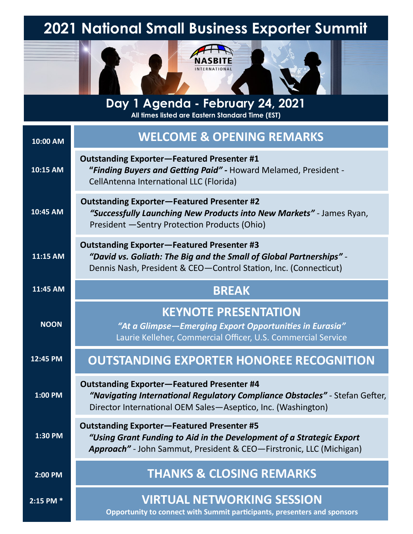## **2021 National Small Business Exporter Summit**







**Day 1 Agenda - February 24, 2021 All times listed are Eastern Standard Time (EST)**

| 10:00 AM    | <b>WELCOME &amp; OPENING REMARKS</b>                                                                                                                                                             |
|-------------|--------------------------------------------------------------------------------------------------------------------------------------------------------------------------------------------------|
| 10:15 AM    | <b>Outstanding Exporter-Featured Presenter #1</b><br>"Finding Buyers and Getting Paid" - Howard Melamed, President -<br>CellAntenna International LLC (Florida)                                  |
| 10:45 AM    | <b>Outstanding Exporter-Featured Presenter #2</b><br>"Successfully Launching New Products into New Markets" - James Ryan,<br>President - Sentry Protection Products (Ohio)                       |
| 11:15 AM    | <b>Outstanding Exporter-Featured Presenter #3</b><br>"David vs. Goliath: The Big and the Small of Global Partnerships" -<br>Dennis Nash, President & CEO-Control Station, Inc. (Connecticut)     |
| 11:45 AM    | <b>BREAK</b>                                                                                                                                                                                     |
| <b>NOON</b> | <b>KEYNOTE PRESENTATION</b><br>"At a Glimpse-Emerging Export Opportunities in Eurasia"<br>Laurie Kelleher, Commercial Officer, U.S. Commercial Service                                           |
| 12:45 PM    | <b>OUTSTANDING EXPORTER HONOREE RECOGNITION</b>                                                                                                                                                  |
| 1:00 PM     | <b>Outstanding Exporter-Featured Presenter #4</b><br>"Navigating International Regulatory Compliance Obstacles" - Stefan Gefter,<br>Director International OEM Sales-Aseptico, Inc. (Washington) |
| 1:30 PM     | <b>Outstanding Exporter-Featured Presenter #5</b><br>"Using Grant Funding to Aid in the Development of a Strategic Export<br>Approach" - John Sammut, President & CEO-Firstronic, LLC (Michigan) |
| 2:00 PM     | <b>THANKS &amp; CLOSING REMARKS</b>                                                                                                                                                              |
| 2:15 PM *   | <b>VIRTUAL NETWORKING SESSION</b><br>Opportunity to connect with Summit participants, presenters and sponsors                                                                                    |